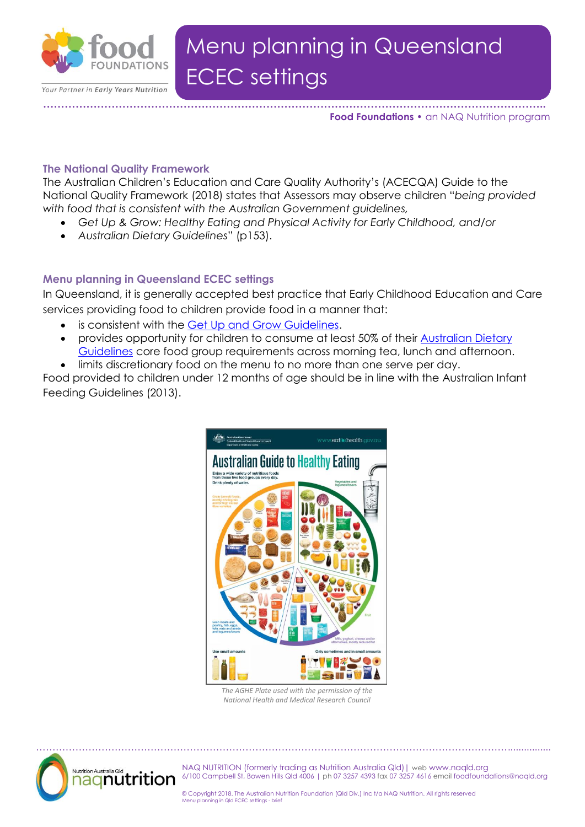

#### **………………………………………………………………………………………………………………………….. Food Foundations •** an NAQ Nutrition program

### **The National Quality Framework**

The Australian Children's Education and Care Quality Authority's (ACECQA) Guide to the National Quality Framework (2018) states that Assessors may observe children "*being provided with food that is consistent with the Australian Government guidelines,*

- *Get Up & Grow: Healthy Eating and Physical Activity for Early Childhood, and/or*
- *Australian Dietary Guidelines*" (p153).

# **Menu planning in Queensland ECEC settings**

In Queensland, it is generally accepted best practice that Early Childhood Education and Care services providing food to children provide food in a manner that:

- is consistent with the [Get Up and Grow Guidelines.](http://www.health.gov.au/internet/main/publishing.nsf/Content/phd-early-childhood-nutrition-resources)
- provides opportunity for children to consume at least 50% of their [Australian Dietary](https://www.eatforhealth.gov.au/guidelines)  [Guidelines](https://www.eatforhealth.gov.au/guidelines) core food group requirements across morning tea, lunch and afternoon.
- limits discretionary food on the menu to no more than one serve per day.

Food provided to children under 12 months of age should be in line with the Australian Infant Feeding Guidelines (2013).



*The AGHE Plate used with the permission of the National Health and Medical Research Council*



NAQ NUTRITION (formerly trading as Nutrition Australia Qld)| web www.naqld.org 6/100 Campbell St, Bowen Hills Qld 4006 | ph 07 3257 4393 fax 07 3257 4616 email foodfoundations@naqld.org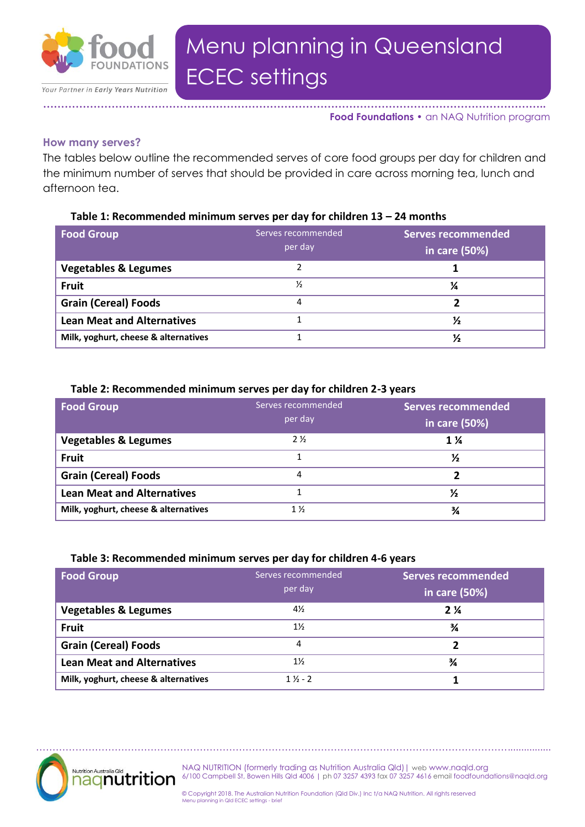

**………………………………………………………………………………………………………………………….. Food Foundations •** an NAQ Nutrition program

#### **How many serves?**

The tables below outline the recommended serves of core food groups per day for children and the minimum number of serves that should be provided in care across morning tea, lunch and afternoon tea.

### **Table 1: Recommended minimum serves per day for children 13 – 24 months**

| <b>Food Group</b>                    | Serves recommended<br>per day | <b>Serves recommended</b><br>in care (50%) |
|--------------------------------------|-------------------------------|--------------------------------------------|
| <b>Vegetables &amp; Legumes</b>      |                               |                                            |
| <b>Fruit</b>                         | $\frac{1}{2}$                 | ¼                                          |
| <b>Grain (Cereal) Foods</b>          | 4                             |                                            |
| <b>Lean Meat and Alternatives</b>    |                               | ⅓                                          |
| Milk, yoghurt, cheese & alternatives |                               | ⅓                                          |

## **Table 2: Recommended minimum serves per day for children 2-3 years**

| <b>Food Group</b>                    | Serves recommended | <b>Serves recommended</b> |
|--------------------------------------|--------------------|---------------------------|
|                                      | per day            | in care (50%)             |
| <b>Vegetables &amp; Legumes</b>      | $2\frac{1}{2}$     | $1\,\mathrm{\%}$          |
| <b>Fruit</b>                         |                    | ⅓                         |
| <b>Grain (Cereal) Foods</b>          | 4                  |                           |
| <b>Lean Meat and Alternatives</b>    |                    | ⅓                         |
| Milk, yoghurt, cheese & alternatives | $1\%$              | ¾                         |

### **Table 3: Recommended minimum serves per day for children 4-6 years**

| <b>Food Group</b>                    | Serves recommended<br>per day | <b>Serves recommended</b><br>in care (50%) |
|--------------------------------------|-------------------------------|--------------------------------------------|
| <b>Vegetables &amp; Legumes</b>      | 4½                            | 2 <sup>1</sup>                             |
| <b>Fruit</b>                         | $1\%$                         | ¾                                          |
| <b>Grain (Cereal) Foods</b>          | 4                             |                                            |
| <b>Lean Meat and Alternatives</b>    | $1\%$                         | ¾                                          |
| Milk, yoghurt, cheese & alternatives | $1\frac{1}{2} - 2$            |                                            |



NAQ NUTRITION (formerly trading as Nutrition Australia Qld)| web www.naqld.org 6/100 Campbell St, Bowen Hills Qld 4006 | ph 07 3257 4393 fax 07 3257 4616 email foodfoundations@naqld.org